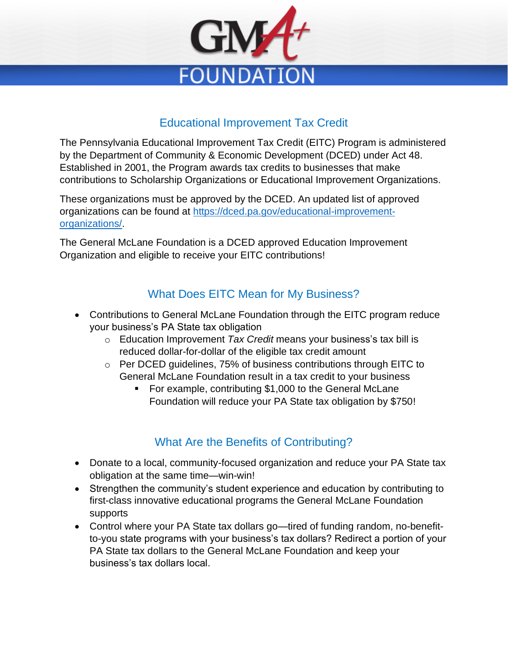

### Educational Improvement Tax Credit

The Pennsylvania Educational Improvement Tax Credit (EITC) Program is administered by the Department of Community & Economic Development (DCED) under Act 48. Established in 2001, the Program awards tax credits to businesses that make contributions to Scholarship Organizations or Educational Improvement Organizations.

These organizations must be approved by the DCED. An updated list of approved organizations can be found at [https://dced.pa.gov/educational-improvement](https://dced.pa.gov/educational-improvement-organizations/)[organizations/.](https://dced.pa.gov/educational-improvement-organizations/)

The General McLane Foundation is a DCED approved Education Improvement Organization and eligible to receive your EITC contributions!

## What Does EITC Mean for My Business?

- Contributions to General McLane Foundation through the EITC program reduce your business's PA State tax obligation
	- o Education Improvement *Tax Credit* means your business's tax bill is reduced dollar-for-dollar of the eligible tax credit amount
	- o Per DCED guidelines, 75% of business contributions through EITC to General McLane Foundation result in a tax credit to your business
		- For example, contributing \$1,000 to the General McLane Foundation will reduce your PA State tax obligation by \$750!

# What Are the Benefits of Contributing?

- Donate to a local, community-focused organization and reduce your PA State tax obligation at the same time—win-win!
- Strengthen the community's student experience and education by contributing to first-class innovative educational programs the General McLane Foundation supports
- Control where your PA State tax dollars go—tired of funding random, no-benefitto-you state programs with your business's tax dollars? Redirect a portion of your PA State tax dollars to the General McLane Foundation and keep your business's tax dollars local.